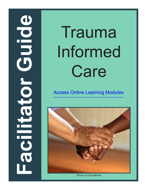# **ODIDIO Facilitator Guide** Cator

# Trauma Informed Care

[Access Online Learning Modules](https://www.easternct.edu/center-for-early-childhood-education/online-learning-modules.html)

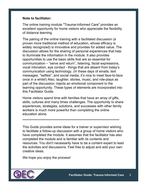#### **Note to facilitator:**

The online training module "Trauma-Informed Care" provides an excellent opportunity for home visitors who appreciate the flexibility of distance learning.

The pairing of the online training with a facilitated discussion (a proven more traditional method of education, whose efficacy is widely recognized) is innovative and provides for added value. The discussion allows for the sharing of personal experiences that help to illuminate the information in the module. It also provides opportunities to use the basic skills that are so essential for communication – "serve and return", listening, facial expressions, vocal intonation, eye contact - things that are absent from today's communication using technology. (In these days of emails, text messages, "selfies", and social media, it's nice to meet face-to-face once in a while!) Also, laughter, stories, music, and role-plays as part of the discussion, injects an emotional component to the learning opportunity. These types of elements are incorporated into this Facilitator Guide.

Home visitors spend time with families that have an array of gifts, skills, cultures and many times challenges. The opportunity to share experiences, strategies, solutions, and successes with other family workers is much more powerful than completing the online education alone.

<sub>™™™™™™™™™™™™™™™™™™™™™™™™™™™™™™™®</sub>

This Guide provides some ideas for a trainer or supervisor wishing to facilitate a follow-up discussion with a group of home visitors who have completed the module. It assumes that the facilitator has also completed the module and is familiar with its contents and resources. You don't necessarily have to be a content expert to lead the activities and discussions. Feel free to adjust and add your own creative ideas.

We hope you enjoy the process!

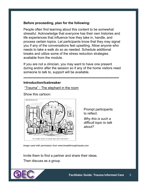# **Before proceeding, plan for the following:**

People often find learning about this content to be somewhat stressful. Acknowledge that everyone has their own histories and life experiences that influence how they take in, handle, and process certain topics. Let participants know that they may signal you if any of the conversations feel upsetting. Allow anyone who needs to take a walk do so as needed. Schedule additional breaks and utilize some of the stress reduction strategies available from the module.

If you are not a clinician, you may want to have one present during and/or after the session so if any of the home visitors need someone to talk to, support will be available.

#### **\*\*\*\*\*\*\*\*\*\*\*\*\*\*\*\*\*\*\*\*\*\*\*\*\*\*\*\*\*\*\*\*\*\*\*\*\*\*\*\*\*\*\*\*\*\*\*\*\*\*\*\*\*\*\*\*\*\*\*\*\*\*\*\*\*\*\*\*\*\*\*\*\***

#### **Introduction/Icebreaker**

"Trauma" - The elephant in the room

Show this cartoon:



Prompt participants to reflect:

*Why this is such a difficult topic to talk about?* 

Image used with permission from www.breakthroughvisuals.com

Invite them to find a partner and share their ideas. Then discuss as a group.

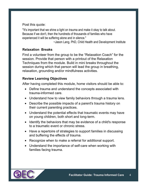Post this quote:

"It's important that we shine a light on trauma and make it okay to talk about. Because if we don't, then the hundreds of thousands of families who have experienced it will be suffering alone and in silence."

~Jason Lang, PhD, Child Health and Development Institute

# **Relaxation Breaks**

Find a volunteer from the group to be the "Relaxation Coach" for the session. Provide that person with a printout of the Relaxation Techniques from the module. Build in mini breaks throughout the session during which that person will lead the group in breathing, relaxation, grounding and/or mindfulness activities.

#### **Review Learning Objectives**

After having completed this module, home visitors should be able to:

- Define trauma and understand the concepts associated with trauma-informed care.
- Understand how to view family behaviors through a trauma lens.
- Describe the possible impacts of a parent's trauma history on their current parenting practices.
- Understand the potential effects that traumatic events may have on young children, both short and long-term.
- Identify the behaviors that may be evidence of a child's response to a traumatic event or chronic stress.
- Have a repertoire of strategies to support families in discussing and buffering the effects of trauma.
- Recognize when to make a referral for additional support.
- Understand the importance of self-care when working with families facing trauma.

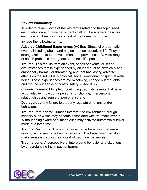# **Review Vocabulary**

In order to review some of the key terms related to this topic, read each definition and have participants call out the answers. Discuss each concept briefly in the context of the home visitor role.

Include the following terms:

**Adverse Childhood Experiences (ACEs):** Stressful or traumatic events, including abuse and neglect that occur early in life. They are strongly related to the development and prevalence of a wide range of health problems throughout a person's lifespan.

**Trauma:** This results from an event, series of events, or set of circumstances that is experienced by an individual as physically and emotionally harmful or threatening and that has lasting adverse effects on the individual's physical, social, emotional, or spiritual wellbeing. These experiences are overwhelming, change our thoughts, and reduce our sense of control/safety. (SAMHSA)

**Chronic Trauma:** Multiple or continuing traumatic events that have accumulative impact on a person's functioning, interpersonal relationships and sense of personal safety.

**Dysregulation:** A failure to properly regulate emotions and/or behaviors.

**Trauma Reminders:** Humans interpret the environment through sensory cues which may become associated with traumatic events. Without being aware of it, these cues may activate automatic survival mode at a later time.

**Trauma Reactions:** The sudden or extreme behaviors that are a result of experiencing a trauma reminder. The behaviors often don't make sense except in the context of trauma experiences.

**Trauma Lens:** A perspective of interpreting behavior and situations by understanding the impact of trauma.

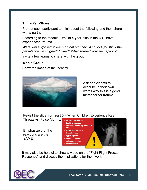#### **Think-Pair-Share**

Prompt each participant to think about the following and then share with a partner:

According to the module, 26% of 4-year-olds in the U.S. have experienced trauma.

*Were you surprised to learn of that number? If so, did you think the prevalence was higher? Lower? What shaped your perception?*

Invite a few teams to share with the group.

# **Whole Group**

Show the image of the iceberg.



Ask participants to describe in their own words why this is a good metaphor for trauma.

Revisit the slide from part 5 – When Children Experience Real Threats vs. False Alarms: • focused on survival



It may also be helpful to show a video on the "Fight Flight Freeze Response" and discuss the implications for their work.

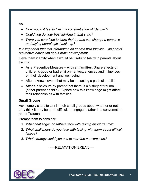Ask:

- *How would it feel to live in a constant state of "danger"?*
- *Could you do your best thinking in that state?*
- *Were you surprised to learn that trauma can change a person's underlying neurological makeup?*

*It is important that this information be shared with families – as part of preventive education about brain development.* 

Have them identify when it would be useful to talk with parents about trauma:

- As a Preventive Measure **with all families**. Share effects of children's good or bad environment/experiences and influences on their development and well-being
- After a known event that may be impacting a particular child.
- After a disclosure by parent that there is a history of trauma (either parent or child). Explore how this knowledge might affect their relationships with families.

# **Small Groups**

Ask home visitors to talk in their small groups about whether or not they think it may be more difficult to engage a father in a conversation about Trauma.

Prompt them to consider:

- 1. *What challenges do fathers face with talking about trauma?*
- 2. *What challenges do you face with talking with them about difficult issues?*
- 3. *What strategy could you use to start the conversation?*

------RELAXATION BREAK-----

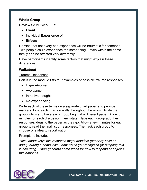#### **Whole Group**

Review SAMHSA's 3 Es:

- **Event**
- Individual **Experience** of it
- **Effects**

Remind that not every bad experience will be traumatic for someone. Two people could experience the same thing – even within the same family and be affected very differently.

Have participants identify some factors that might explain these differences.

# **Walkabout**

#### Trauma Responses

Part 3 in the module lists four examples of possible trauma responses:

- Hyper-Arousal
- Avoidance
- Intrusive thoughts
- Re-experiencing

Write each of these terms on a separate chart paper and provide markers. Post each chart on walls throughout the room. Divide the group into 4 and have each group begin at a different paper. Allow 5 minutes for each discussion then rotate. Have each group add their responses/ideas to the paper as they go. Allow a few minutes for each group to read the final list of responses. Then ask each group to choose one idea to report out on.

#### Prompts to include:

*Think about ways this response might manifest (either by child or adult) during a home visit – how would you recognize (or suspect) this is occurring? Then generate some ideas for how to respond or adjust if this happens.*

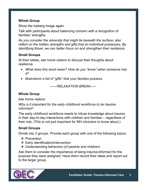# **Whole Group**

Show the Iceberg image again.

Talk with participants about balancing concern with a recognition of families' strengths.

*As you consider the adversity that might lie beneath the surface, also reflect on the hidden strengths and gifts that an individual possesses. By identifying those, we can better focus on and strengthen their resilience.*

## **Small Groups**

At their tables, ask home visitors to discuss their thoughts about resilience.

- *What does this word mean? How do you "know" when someone has it?*
- *Brainstorm a list of "gifts" that your families possess.*

*------RELAXATION BREAK-----*

## **Whole Group**

Ask home visitors:

*Why is it important for the early childhood workforce to be traumainformed?*

The early childhood workforce needs to infuse knowledge about trauma in their day-to-day interactions with children and families – regardless of their role. (This is not just important for MH clinicians to know about.)

#### **Small Groups**

Divide into 3 groups. Provide each group with one of the following topics:

- ❖ Prevention
- ❖ Early identification/intervention
- $\div$  Understanding behaviors (of parents and children)

Ask them to consider the importance of being trauma-informed for the purpose they were assigned. Have them record their ideas and report out to the larger group.

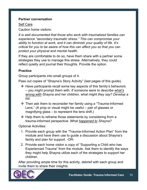#### **Partner conversation**

#### Self Care

Caution home visitors:

*It is well documented that those who work with traumatized families can experience "secondary traumatic stress." This can compromise your ability to function at work, and it can diminish your quality of life. It's critical for you to be aware of how this can affect you so that you can protect your physical and mental health.* 

If they are comfortable to do so, have them share with a partner some strategies they use to manage this stress. Alternatively, they could reflect quietly and journal their thoughts. Provide the option.

# **Practice**

Group participants into small groups of 4.

Pass out copies of "Shayna's Story Activity" (last pages of this guide).

- $\div$  Have participants recall some key aspects of this family's behaviors – you might prompt them with: *If someone were to describe what's wrong with Shayna and her children, what might they say? Develop a list.*
- Then ask them to reconsider her family using a "Trauma-Informed Lens." (A prop or visual might be useful – pair of glasses or magnifying glass – to represent the lens shift.)
- $\div$  Help them to reframe those statements by considering from a trauma-informed perspective: *What happened to Shayna?*

Optional Activities:

- 1. Provide each group with the "Trauma-Informed Action Plan" from the module and have them use to guide a discussion about Shayna's family and plan for support. -OR-
- 2. Provide each home visitor a copy of "Supporting a Child who has Experienced Trauma" from the module. Ask them to identify the ways they might help Shayna utilize each of the strategies to support her children.

After providing ample time for this activity, debrief with each group and invite them to share their insights.

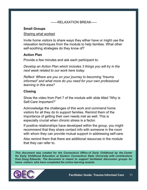#### ------RELAXATION BREAK-----

# **Small Groups**

#### Sharing what worked

Invite home visitors to share ways they either have or might use the relaxation techniques from the module to help families. What other self-soothing strategies do they know of?

#### **Action Plan**

Provide a few minutes and ask each participant to:

*Develop an Action Plan which includes 3 things you will try in the next week related to our work here today.*

*Reflect: Where are you on your journey to becoming "trauma informed" and what more do you need for your own professional learning in this area?*

#### **Closing**

Show the video from Part 7 of the module with slide titled "Why is Self-Care Important?"

Acknowledge the challenges of this work and commend home visitors for all they do to support families. Remind them of the importance of getting their own needs met as well. This is especially crucial when chronic stress is a factor.

If positive relationships have developed within the group, you might recommend that they share contact info with someone in the room with whom they can provide mutual support in addressing self-care.

Also remind them that there are additional resources in the module that they can refer to.

*This document was created for the Connecticut Office of Early Childhood by the Center for Early Childhood Education at Eastern Connecticut State University with contributions from Doug Edwards. The document is meant to support facilitated discussion groups for home visitors who have completed the online learning module.*

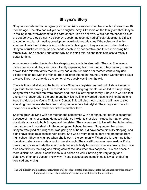# **Shayna's Story**

 is feeling more overwhelmed taking care of both kids on her own. While her mother and sister apartment gets loud, if Amy is loud while she is playing, or if they are around other children. Shayna was referred to our agency for home visitor services when her son Jacob was born 10 months ago. She also has a 4 year old daughter, Amy. Stressors on the family are that Shayna are supportive, they do not live close by. Jacob has recently had difficulty sleeping, is difficult to soothe, and is not meeting developmental milestones. He cries if the noise level in the Shayna is frustrated because she needs Jacob to be cooperative and this is increasing her stress level. She doesn't understand why he is doing this, so she feels helpless to make it better for him.

Amy recently started having trouble sleeping and wants to sleep with Shayna. She seems more insecure and clingy and has difficulty separating from her mother. They recently went to a town kid's fair with family friends. Amy had a tantrum when her mother went to buy ride tickets and left her with the friends. Both children attend the Young Children Center three days a week. They have attended the center since Jacob was 6 months old.

 ago. Prior to his moving out, there had been increasing arguments, which led to him pushing There is financial strain on the family since Shayna's boyfriend moved out of state 2 months Shayna while the children were present and then his leaving the family. Shayna is worried that she can no longer afford the apartment they live in. She is worried that she will not be able to keep the kids at the Young Children's Center. This will also mean that she will have to stop attending the classes she has been taking to become a hair stylist. They may even have to move back in with her mother or sister in another town.

 defensive often and doesn't know why. These episodes are sometimes followed by feeling very sad and crying. Shayna grew up living with her mother and sometimes with her father. Her parents separated because of many, escalating domestic violence incidents that also included her father being physically abusive to both Shayna and her sister. Shayna was sent to live with her father when her mother could not deal with the arguing and fighting between Shayna and her sister. Shayna was good at hiding what was going on at home, did have some difficulty sleeping, and didn't have close relationships with peers. She was a very good student and graduated from high school. Shayna is jumpy when she is out in the community. When she is returning to her hometown, she always gets a knot in her stomach. Shayna still becomes very anxious if she hears loud voices outside the apartment- her whole body tenses and she lies down in bed. She also has difficulty focusing and taking care of the kids when this happens. This has become more difficult as Jacob is sensitive to loud noises as well. Shayna gets very angry and

The Child Health and Development Institute of Connecticut created this document for the Connecticut Office of Early Childhood. It is part of a module on Trauma-Informed Care for home visitors.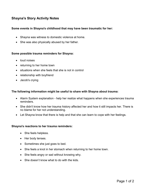# **Shayna's Story Activity Notes**

#### **Some events in Shayna's childhood that may have been traumatic for her:**

- Shayna was witness to domestic violence at home.
- She was also physically abused by her father.

#### **Some possible trauma reminders for Shayna:**

- loud noises
- returning to her home town
- situations when she feels that she is not in control
- relationship with boyfriend
- Jacob's crying

#### **The following information might be useful to share with Shayna about trauma:**

- Alarm System explanation help her realize what happens when she experiences trauma reminders.
- She didn't know how her trauma history affected her and how it still impacts her. There is no blame for her not understanding.
- Let Shayna know that there is help and that she can learn to cope with her feelings.

#### **Shayna's reactions to her trauma reminders:**

- She feels helpless.
- Her body tenses.
- Sometimes she just goes to bed.
- She feels a knot in her stomach when returning to her home town.
- She feels angry or sad without knowing why.
- She doesn't know what to do with the kids.